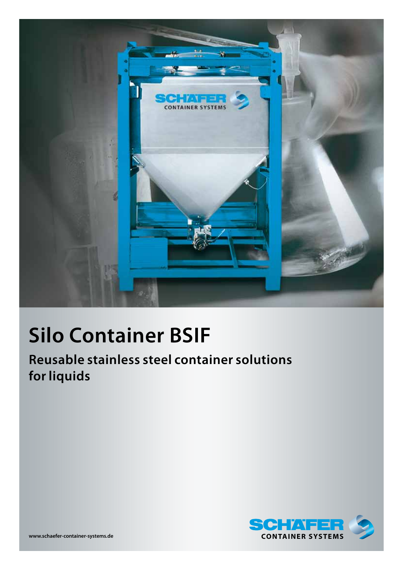

# **Silo Container BSIF**

**Reusable stainless steel container solutions for liquids**